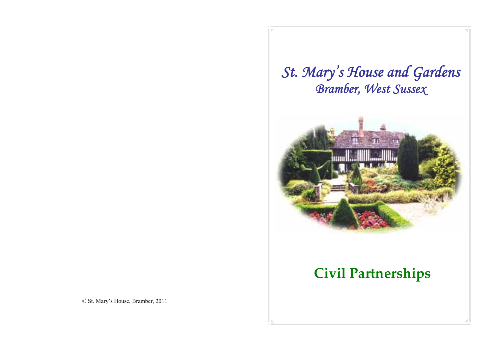## *St. Mary's House and Gardens Bramber, West Sussex*



## **Civil Partnerships**

© St. Mary's House, Bramber, 2011